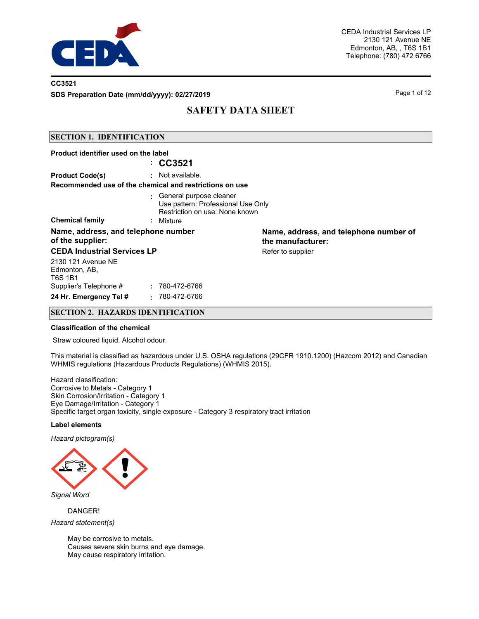

### **CC3521**

**SDS Preparation Date (mm/dd/yyyy): 02/27/2019 Page 1 of 12** Page 1 of 12

## **SAFETY DATA SHEET**

### **SECTION 1. IDENTIFICATION**

| Product identifier used on the label                    |                                                                                                   |                                                             |
|---------------------------------------------------------|---------------------------------------------------------------------------------------------------|-------------------------------------------------------------|
|                                                         | : CC3521                                                                                          |                                                             |
| <b>Product Code(s)</b>                                  | $:$ Not available.                                                                                |                                                             |
|                                                         | Recommended use of the chemical and restrictions on use                                           |                                                             |
|                                                         | : General purpose cleaner<br>Use pattern: Professional Use Only<br>Restriction on use: None known |                                                             |
| <b>Chemical family</b>                                  | : Mixture                                                                                         |                                                             |
| Name, address, and telephone number<br>of the supplier: |                                                                                                   | Name, address, and telephone number of<br>the manufacturer: |
| <b>CEDA Industrial Services LP</b>                      |                                                                                                   | Refer to supplier                                           |
| 2130 121 Avenue NE<br>Edmonton, AB,<br><b>T6S 1B1</b>   |                                                                                                   |                                                             |
| Supplier's Telephone #                                  | : 780-472-6766                                                                                    |                                                             |
| 24 Hr. Emergency Tel #                                  | 780-472-6766                                                                                      |                                                             |

### **SECTION 2. HAZARDS IDENTIFICATION**

#### **Classification of the chemical**

Straw coloured liquid. Alcohol odour.

This material is classified as hazardous under U.S. OSHA regulations (29CFR 1910.1200) (Hazcom 2012) and Canadian WHMIS regulations (Hazardous Products Regulations) (WHMIS 2015).

Hazard classification: Corrosive to Metals - Category 1 Skin Corrosion/Irritation - Category 1 Eye Damage/Irritation - Category 1 Specific target organ toxicity, single exposure - Category 3 respiratory tract irritation

#### **Label elements**

*Hazard pictogram(s)*



*Signal Word*

DANGER!

*Hazard statement(s)*

May be corrosive to metals. Causes severe skin burns and eye damage. May cause respiratory irritation.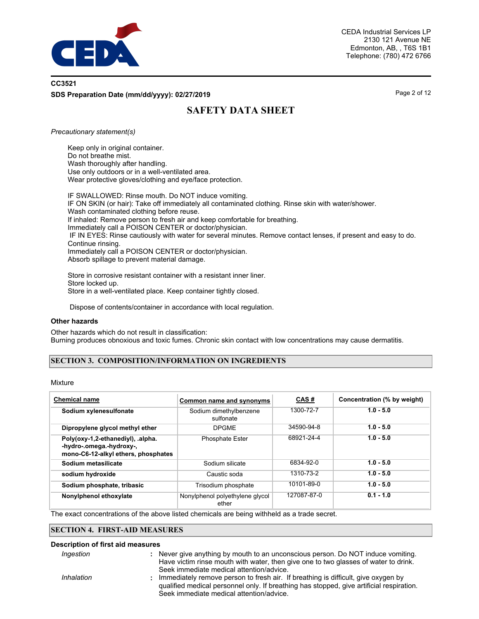

## **CC3521 SDS Preparation Date (mm/dd/yyyy): 02/27/2019 Page 2 of 12** Page 2 of 12

# **SAFETY DATA SHEET**

#### *Precautionary statement(s)*

Keep only in original container. Do not breathe mist. Wash thoroughly after handling. Use only outdoors or in a well-ventilated area. Wear protective gloves/clothing and eye/face protection.

IF SWALLOWED: Rinse mouth. Do NOT induce vomiting. IF ON SKIN (or hair): Take off immediately all contaminated clothing. Rinse skin with water/shower. Wash contaminated clothing before reuse. If inhaled: Remove person to fresh air and keep comfortable for breathing. Immediately call a POISON CENTER or doctor/physician. IF IN EYES: Rinse cautiously with water for several minutes. Remove contact lenses, if present and easy to do. Continue rinsing. Immediately call a POISON CENTER or doctor/physician. Absorb spillage to prevent material damage.

Store in corrosive resistant container with a resistant inner liner. Store locked up. Store in a well-ventilated place. Keep container tightly closed.

Dispose of contents/container in accordance with local regulation.

#### **Other hazards**

Other hazards which do not result in classification: Burning produces obnoxious and toxic fumes. Chronic skin contact with low concentrations may cause dermatitis.

### **SECTION 3. COMPOSITION/INFORMATION ON INGREDIENTS**

### Mixture

| <b>Chemical name</b>                                                                                 | Common name and synonyms                 | CAS#        | Concentration (% by weight) |
|------------------------------------------------------------------------------------------------------|------------------------------------------|-------------|-----------------------------|
| Sodium xylenesulfonate                                                                               | Sodium dimethylbenzene<br>sulfonate      | 1300-72-7   | $1.0 - 5.0$                 |
| Dipropylene glycol methyl ether                                                                      | <b>DPGME</b>                             | 34590-94-8  | $1.0 - 5.0$                 |
| Poly(oxy-1,2-ethanediyl), .alpha.<br>-hydro-.omega.-hydroxy-,<br>mono-C6-12-alkyl ethers, phosphates | <b>Phosphate Ester</b>                   | 68921-24-4  | $1.0 - 5.0$                 |
| Sodium metasilicate                                                                                  | Sodium silicate                          | 6834-92-0   | $1.0 - 5.0$                 |
| sodium hydroxide                                                                                     | Caustic soda                             | 1310-73-2   | $1.0 - 5.0$                 |
| Sodium phosphate, tribasic                                                                           | Trisodium phosphate                      | 10101-89-0  | $1.0 - 5.0$                 |
| Nonylphenol ethoxylate                                                                               | Nonylphenol polyethylene glycol<br>ether | 127087-87-0 | $0.1 - 1.0$                 |

The exact concentrations of the above listed chemicals are being withheld as a trade secret.

#### **SECTION 4. FIRST-AID MEASURES**

#### **Description of first aid measures**

- *Ingestion* **:**
- Never give anything by mouth to an unconscious person. Do NOT induce vomiting. Have victim rinse mouth with water, then give one to two glasses of water to drink. Seek immediate medical attention/advice.
- *Inhalation* **:**
- Immediately remove person to fresh air. If breathing is difficult, give oxygen by qualified medical personnel only. If breathing has stopped, give artificial respiration. Seek immediate medical attention/advice.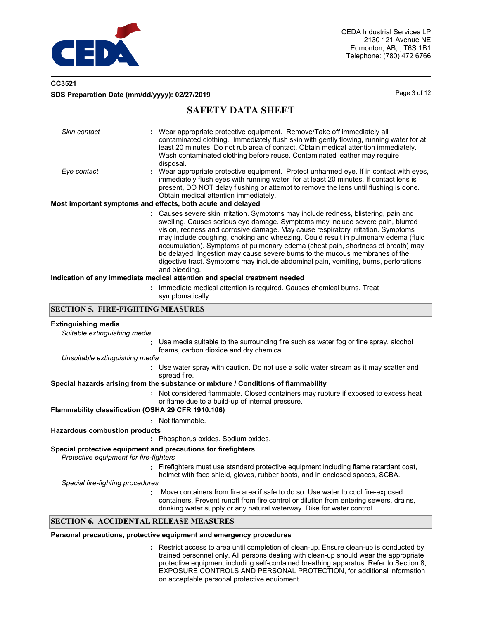

## **CC3521 SDS Preparation Date (mm/dd/yyyy): 02/27/2019 Page 3 of 12** Page 3 of 12

## **SAFETY DATA SHEET**

| Skin contact | : Wear appropriate protective equipment. Remove/Take off immediately all<br>contaminated clothing. Immediately flush skin with gently flowing, running water for at<br>least 20 minutes. Do not rub area of contact. Obtain medical attention immediately.<br>Wash contaminated clothing before reuse. Contaminated leather may require<br>disposal.                                                                                                                                                                                                                                                                       |
|--------------|----------------------------------------------------------------------------------------------------------------------------------------------------------------------------------------------------------------------------------------------------------------------------------------------------------------------------------------------------------------------------------------------------------------------------------------------------------------------------------------------------------------------------------------------------------------------------------------------------------------------------|
| Eye contact  | : Wear appropriate protective equipment. Protect unharmed eye. If in contact with eyes,<br>immediately flush eyes with running water for at least 20 minutes. If contact lens is<br>present, DO NOT delay flushing or attempt to remove the lens until flushing is done.<br>Obtain medical attention immediately.                                                                                                                                                                                                                                                                                                          |
|              | Most important symptoms and effects, both acute and delayed                                                                                                                                                                                                                                                                                                                                                                                                                                                                                                                                                                |
|              | : Causes severe skin irritation. Symptoms may include redness, blistering, pain and<br>swelling. Causes serious eye damage. Symptoms may include severe pain, blurred<br>vision, redness and corrosive damage. May cause respiratory irritation. Symptoms<br>may include coughing, choking and wheezing. Could result in pulmonary edema (fluid<br>accumulation). Symptoms of pulmonary edema (chest pain, shortness of breath) may<br>be delayed. Ingestion may cause severe burns to the mucous membranes of the<br>digestive tract. Symptoms may include abdominal pain, vomiting, burns, perforations<br>and bleeding. |
|              | Indication of any immediate medical attention and special treatment needed                                                                                                                                                                                                                                                                                                                                                                                                                                                                                                                                                 |
|              | : Immediate medical attention is required. Causes chemical burns. Treat                                                                                                                                                                                                                                                                                                                                                                                                                                                                                                                                                    |

symptomatically.

### **SECTION 5. FIRE-FIGHTING MEASURES**

### **Extinguishing media**

| рупнатына права                                                                                                                                         |                                                                                                                                                                                                                                                     |
|---------------------------------------------------------------------------------------------------------------------------------------------------------|-----------------------------------------------------------------------------------------------------------------------------------------------------------------------------------------------------------------------------------------------------|
| Suitable extinguishing media                                                                                                                            |                                                                                                                                                                                                                                                     |
|                                                                                                                                                         | : Use media suitable to the surrounding fire such as water fog or fine spray, alcohol<br>foams, carbon dioxide and dry chemical.                                                                                                                    |
| Unsuitable extinguishing media                                                                                                                          |                                                                                                                                                                                                                                                     |
|                                                                                                                                                         | : Use water spray with caution. Do not use a solid water stream as it may scatter and<br>spread fire.                                                                                                                                               |
|                                                                                                                                                         | Special hazards arising from the substance or mixture / Conditions of flammability                                                                                                                                                                  |
|                                                                                                                                                         | : Not considered flammable. Closed containers may rupture if exposed to excess heat<br>or flame due to a build-up of internal pressure.                                                                                                             |
| Flammability classification (OSHA 29 CFR 1910.106)                                                                                                      |                                                                                                                                                                                                                                                     |
|                                                                                                                                                         | : Not flammable.                                                                                                                                                                                                                                    |
| <b>Hazardous combustion products</b>                                                                                                                    |                                                                                                                                                                                                                                                     |
|                                                                                                                                                         | : Phosphorus oxides. Sodium oxides.                                                                                                                                                                                                                 |
| Special protective equipment and precautions for firefighters<br>Protective equipment for fire-fighters                                                 |                                                                                                                                                                                                                                                     |
|                                                                                                                                                         | : Firefighters must use standard protective equipment including flame retardant coat,<br>helmet with face shield, gloves, rubber boots, and in enclosed spaces, SCBA.                                                                               |
| Special fire-fighting procedures                                                                                                                        |                                                                                                                                                                                                                                                     |
|                                                                                                                                                         | Move containers from fire area if safe to do so. Use water to cool fire-exposed<br>containers. Prevent runoff from fire control or dilution from entering sewers, drains,<br>drinking water supply or any natural waterway. Dike for water control. |
| $\mathcal{L}$ and $\mathcal{L}$ is a strip in the $\mathcal{L}$ - $\mathcal{L}$ and $\mathcal{L}$ and $\mathcal{L}$ and $\mathcal{L}$ and $\mathcal{L}$ |                                                                                                                                                                                                                                                     |

### **SECTION 6. ACCIDENTAL RELEASE MEASURES**

#### **Personal precautions, protective equipment and emergency procedures**

Restrict access to area until completion of clean-up. Ensure clean-up is conducted by **:** trained personnel only. All persons dealing with clean-up should wear the appropriate protective equipment including self-contained breathing apparatus. Refer to Section 8, EXPOSURE CONTROLS AND PERSONAL PROTECTION, for additional information on acceptable personal protective equipment.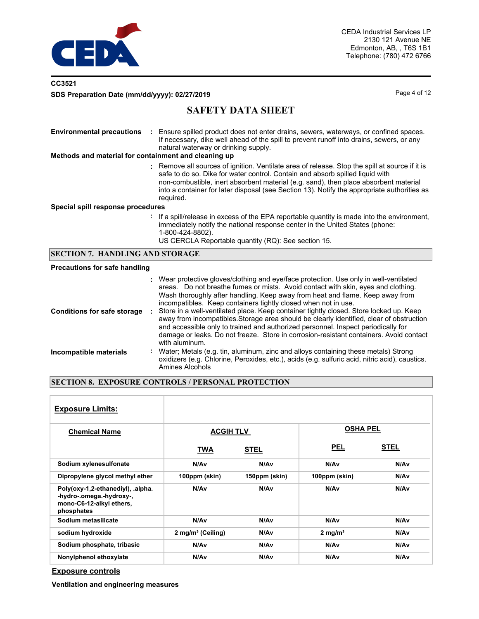

## **CC3521 SDS Preparation Date (mm/dd/yyyy): 02/27/2019 Page 4 of 12** Page 4 of 12

## **SAFETY DATA SHEET**

| <b>Environmental precautions</b><br>Methods and material for containment and cleaning up | Ensure spilled product does not enter drains, sewers, waterways, or confined spaces.<br>If necessary, dike well ahead of the spill to prevent runoff into drains, sewers, or any<br>natural waterway or drinking supply.                                                                                                                                                                                                                                                                                                                                                                                                                                                                                            |
|------------------------------------------------------------------------------------------|---------------------------------------------------------------------------------------------------------------------------------------------------------------------------------------------------------------------------------------------------------------------------------------------------------------------------------------------------------------------------------------------------------------------------------------------------------------------------------------------------------------------------------------------------------------------------------------------------------------------------------------------------------------------------------------------------------------------|
|                                                                                          | : Remove all sources of ignition. Ventilate area of release. Stop the spill at source if it is<br>safe to do so. Dike for water control. Contain and absorb spilled liquid with<br>non-combustible, inert absorbent material (e.g. sand), then place absorbent material<br>into a container for later disposal (see Section 13). Notify the appropriate authorities as<br>required.                                                                                                                                                                                                                                                                                                                                 |
| Special spill response procedures                                                        |                                                                                                                                                                                                                                                                                                                                                                                                                                                                                                                                                                                                                                                                                                                     |
|                                                                                          | : If a spill/release in excess of the EPA reportable quantity is made into the environment,<br>immediately notify the national response center in the United States (phone:<br>1-800-424-8802).<br>US CERCLA Reportable quantity (RQ): See section 15.                                                                                                                                                                                                                                                                                                                                                                                                                                                              |
| <b>SECTION 7. HANDLING AND STORAGE</b>                                                   |                                                                                                                                                                                                                                                                                                                                                                                                                                                                                                                                                                                                                                                                                                                     |
| <b>Precautions for safe handling</b>                                                     |                                                                                                                                                                                                                                                                                                                                                                                                                                                                                                                                                                                                                                                                                                                     |
| <b>Conditions for safe storage</b>                                                       | Wear protective gloves/clothing and eye/face protection. Use only in well-ventilated<br>areas. Do not breathe fumes or mists. Avoid contact with skin, eyes and clothing.<br>Wash thoroughly after handling. Keep away from heat and flame. Keep away from<br>incompatibles. Keep containers tightly closed when not in use.<br>Store in a well-ventilated place. Keep container tightly closed. Store locked up. Keep<br>away from incompatibles. Storage area should be clearly identified, clear of obstruction<br>and accessible only to trained and authorized personnel. Inspect periodically for<br>damage or leaks. Do not freeze. Store in corrosion-resistant containers. Avoid contact<br>with aluminum. |

**Incompatible materials :** Water; Metals (e.g. tin, aluminum, zinc and alloys containing these metals) Strong oxidizers (e.g. Chlorine, Peroxides, etc.), acids (e.g. sulfuric acid, nitric acid), caustics. Amines Alcohols

### **SECTION 8. EXPOSURE CONTROLS / PERSONAL PROTECTION**

| <b>Exposure Limits:</b>                                                                                 |                               |                  |                     |             |
|---------------------------------------------------------------------------------------------------------|-------------------------------|------------------|---------------------|-------------|
| <b>Chemical Name</b>                                                                                    | <b>ACGIH TLV</b>              |                  | <b>OSHA PEL</b>     |             |
|                                                                                                         | TWA                           | <b>STEL</b>      | <b>PEL</b>          | <b>STEL</b> |
| Sodium xylenesulfonate                                                                                  | N/Av                          | N/Av             | N/Av                | N/Av        |
| Dipropylene glycol methyl ether                                                                         | 100ppm (skin)                 | 150ppm (skin)    | 100ppm (skin)       | N/Av        |
| Poly(oxy-1,2-ethanediyl), .alpha.<br>-hydro-.omega.-hydroxy-,<br>mono-C6-12-alkyl ethers,<br>phosphates | N/A <sub>v</sub>              | N/A <sub>v</sub> | N/Av                | N/Av        |
| Sodium metasilicate                                                                                     | N/Av                          | N/Av             | N/Av                | N/Av        |
| sodium hydroxide                                                                                        | 2 mg/m <sup>3</sup> (Ceiling) | N/Av             | 2 mg/m <sup>3</sup> | N/Av        |
| Sodium phosphate, tribasic                                                                              | N/A <sub>v</sub>              | N/Av             | N/A <sub>v</sub>    | N/Av        |
| Nonylphenol ethoxylate                                                                                  | N/Av                          | N/Av             | N/Av                | N/Av        |

**Exposure controls**

**Ventilation and engineering measures**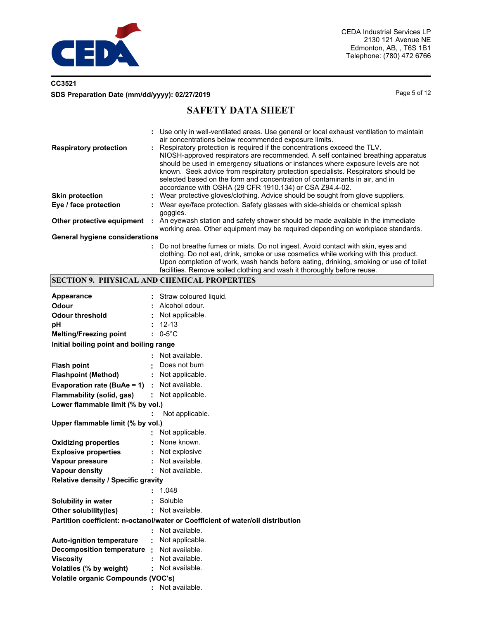

## **CC3521 SDS Preparation Date (mm/dd/yyyy): 02/27/2019 Page 5 of 12 Page 5 of 12**

# **SAFETY DATA SHEET**

|                                       | : Use only in well-ventilated areas. Use general or local exhaust ventilation to maintain<br>air concentrations below recommended exposure limits.                                                                                                                                                                                                                                                                                                                                 |
|---------------------------------------|------------------------------------------------------------------------------------------------------------------------------------------------------------------------------------------------------------------------------------------------------------------------------------------------------------------------------------------------------------------------------------------------------------------------------------------------------------------------------------|
| <b>Respiratory protection</b>         | : Respiratory protection is required if the concentrations exceed the TLV.<br>NIOSH-approved respirators are recommended. A self contained breathing apparatus<br>should be used in emergency situations or instances where exposure levels are not<br>known. Seek advice from respiratory protection specialists. Respirators should be<br>selected based on the form and concentration of contaminants in air, and in<br>accordance with OSHA (29 CFR 1910.134) or CSA Z94.4-02. |
| <b>Skin protection</b>                | : Wear protective gloves/clothing. Advice should be sought from glove suppliers.                                                                                                                                                                                                                                                                                                                                                                                                   |
| Eye / face protection                 | : Wear eye/face protection. Safety glasses with side-shields or chemical splash<br>goggles.                                                                                                                                                                                                                                                                                                                                                                                        |
| Other protective equipment            | An eyewash station and safety shower should be made available in the immediate<br>working area. Other equipment may be required depending on workplace standards.                                                                                                                                                                                                                                                                                                                  |
| <b>General hygiene considerations</b> |                                                                                                                                                                                                                                                                                                                                                                                                                                                                                    |

**:** Do not breathe fumes or mists. Do not ingest. Avoid contact with skin, eyes and clothing. Do not eat, drink, smoke or use cosmetics while working with this product. Upon completion of work, wash hands before eating, drinking, smoking or use of toilet facilities. Remove soiled clothing and wash it thoroughly before reuse.

### **SECTION 9. PHYSICAL AND CHEMICAL PROPERTIES**

| Appearance                                      |                     | Straw coloured liquid.                                                          |  |
|-------------------------------------------------|---------------------|---------------------------------------------------------------------------------|--|
| Odour                                           |                     | Alcohol odour.                                                                  |  |
| <b>Odour threshold</b>                          |                     | Not applicable.                                                                 |  |
| pH                                              |                     | $12 - 13$                                                                       |  |
| <b>Melting/Freezing point</b>                   |                     | $: 0.5^{\circ}$ C                                                               |  |
| Initial boiling point and boiling range         |                     |                                                                                 |  |
|                                                 |                     | Not available.                                                                  |  |
| <b>Flash point</b>                              |                     | Does not burn                                                                   |  |
| <b>Flashpoint (Method)</b>                      |                     | Not applicable.                                                                 |  |
| Evaporation rate (BuAe = $1$ ) : Not available. |                     |                                                                                 |  |
| Flammability (solid, gas)                       |                     | : Not applicable.                                                               |  |
| Lower flammable limit (% by vol.)               |                     |                                                                                 |  |
|                                                 |                     | Not applicable.                                                                 |  |
| Upper flammable limit (% by vol.)               |                     |                                                                                 |  |
|                                                 |                     | Not applicable.                                                                 |  |
| <b>Oxidizing properties</b>                     |                     | None known.                                                                     |  |
| <b>Explosive properties</b>                     | ÷.                  | Not explosive                                                                   |  |
| Vapour pressure                                 | ÷.                  | Not available.                                                                  |  |
| <b>Vapour density</b>                           |                     | : Not available.                                                                |  |
| Relative density / Specific gravity             |                     |                                                                                 |  |
|                                                 |                     | 1.048                                                                           |  |
| Solubility in water                             | ÷.                  | Soluble                                                                         |  |
| Other solubility(ies)                           |                     | : Not available.                                                                |  |
|                                                 |                     | Partition coefficient: n-octanol/water or Coefficient of water/oil distribution |  |
|                                                 | ÷.                  | Not available.                                                                  |  |
| <b>Auto-ignition temperature</b>                | $\mathcal{L}^{\pm}$ | Not applicable.                                                                 |  |
| Decomposition temperature :                     |                     | Not available.                                                                  |  |
| <b>Viscosity</b>                                |                     | Not available.                                                                  |  |
| Volatiles (% by weight)                         |                     | Not available.                                                                  |  |
| <b>Volatile organic Compounds (VOC's)</b>       |                     |                                                                                 |  |
|                                                 |                     | Not available.                                                                  |  |
|                                                 |                     |                                                                                 |  |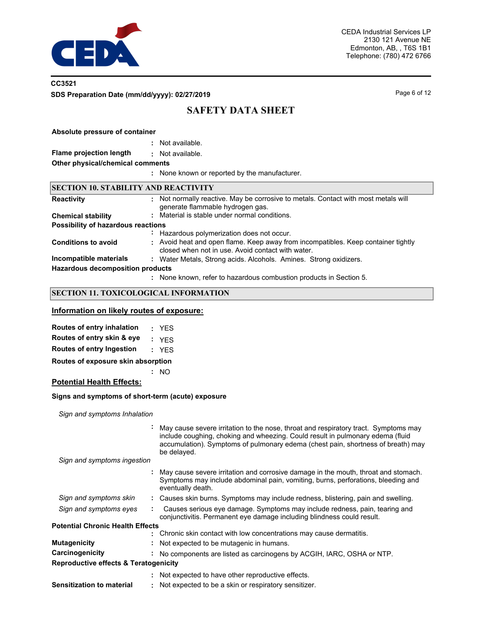

## **CC3521 SDS Preparation Date (mm/dd/yyyy): 02/27/2019 Page 6 of 12 Page 6 of 12**

# **SAFETY DATA SHEET**

### **Absolute pressure of container**

| Not available. |
|----------------|
|                |

#### **Flame projection length :** Not available.

**Other physical/chemical comments**

**:** None known or reported by the manufacturer.

### **SECTION 10. STABILITY AND REACTIVITY**

| <b>Reactivity</b>                       | : Not normally reactive. May be corrosive to metals. Contact with most metals will<br>generate flammable hydrogen gas.                 |
|-----------------------------------------|----------------------------------------------------------------------------------------------------------------------------------------|
| <b>Chemical stability</b>               | : Material is stable under normal conditions.                                                                                          |
| Possibility of hazardous reactions      |                                                                                                                                        |
|                                         | : Hazardous polymerization does not occur.                                                                                             |
| <b>Conditions to avoid</b>              | : Avoid heat and open flame. Keep away from incompatibles. Keep container tightly<br>closed when not in use. Avoid contact with water. |
| Incompatible materials                  | : Water Metals, Strong acids. Alcohols. Amines. Strong oxidizers.                                                                      |
| <b>Hazardous decomposition products</b> |                                                                                                                                        |
|                                         | : None known, refer to hazardous combustion products in Section 5.                                                                     |

### **SECTION 11. TOXICOLOGICAL INFORMATION**

## **Information on likely routes of exposure:**

| Routes of entry inhalation          | : YES |
|-------------------------------------|-------|
| Routes of entry skin & eye          | : YFS |
| <b>Routes of entry Ingestion</b>    | : YES |
| Deuten of evangeure alin abanyation |       |

**:** NO **Routes of exposure skin absorption**

# **Potential Health Effects:**

#### **Signs and symptoms of short-term (acute) exposure**

*Sign and symptoms Inhalation*

|                                         | May cause severe irritation to the nose, throat and respiratory tract. Symptoms may<br>include coughing, choking and wheezing. Could result in pulmonary edema (fluid<br>accumulation). Symptoms of pulmonary edema (chest pain, shortness of breath) may<br>be delayed. |
|-----------------------------------------|--------------------------------------------------------------------------------------------------------------------------------------------------------------------------------------------------------------------------------------------------------------------------|
| Sign and symptoms ingestion             |                                                                                                                                                                                                                                                                          |
|                                         | May cause severe irritation and corrosive damage in the mouth, throat and stomach.<br>Symptoms may include abdominal pain, vomiting, burns, perforations, bleeding and<br>eventually death.                                                                              |
| Sign and symptoms skin                  | : Causes skin burns. Symptoms may include redness, blistering, pain and swelling.                                                                                                                                                                                        |
| Sign and symptoms eyes                  | Causes serious eye damage. Symptoms may include redness, pain, tearing and<br>conjunctivitis. Permanent eye damage including blindness could result.                                                                                                                     |
| <b>Potential Chronic Health Effects</b> |                                                                                                                                                                                                                                                                          |
|                                         | : Chronic skin contact with low concentrations may cause dermatitis.                                                                                                                                                                                                     |
| <b>Mutagenicity</b>                     | Not expected to be mutagenic in humans.                                                                                                                                                                                                                                  |
| Carcinogenicity                         | No components are listed as carcinogens by ACGIH, IARC, OSHA or NTP.                                                                                                                                                                                                     |
| Reproductive effects & Teratogenicity   |                                                                                                                                                                                                                                                                          |
|                                         | : Not expected to have other reproductive effects.                                                                                                                                                                                                                       |
| <b>Sensitization to material</b>        | Not expected to be a skin or respiratory sensitizer.                                                                                                                                                                                                                     |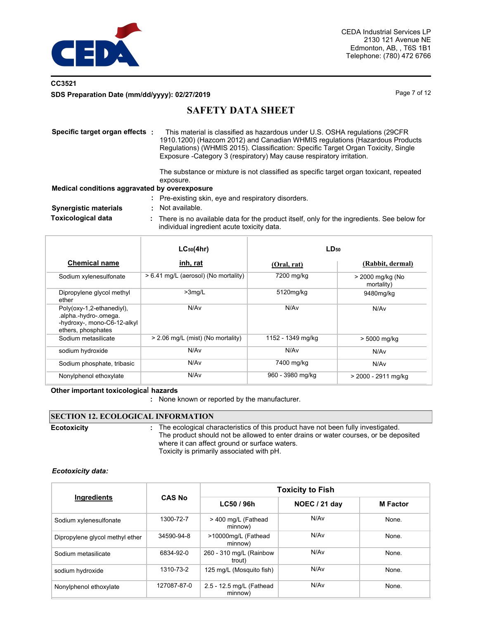

## **CC3521 SDS Preparation Date (mm/dd/yyyy): 02/27/2019 Page 7 of 12 Page 7 of 12**

## **SAFETY DATA SHEET**

| Specific target organ effects :               | This material is classified as hazardous under U.S. OSHA regulations (29CFR)<br>1910.1200) (Hazcom 2012) and Canadian WHMIS regulations (Hazardous Products<br>Regulations) (WHMIS 2015). Classification: Specific Target Organ Toxicity, Single<br>Exposure - Category 3 (respiratory) May cause respiratory irritation. |
|-----------------------------------------------|---------------------------------------------------------------------------------------------------------------------------------------------------------------------------------------------------------------------------------------------------------------------------------------------------------------------------|
|                                               | The substance or mixture is not classified as specific target organ toxicant, repeated<br>exposure.                                                                                                                                                                                                                       |
| Medical conditions aggravated by overexposure |                                                                                                                                                                                                                                                                                                                           |
|                                               | : Pre-existing skin, eye and respiratory disorders.                                                                                                                                                                                                                                                                       |
| <b>Synergistic materials</b>                  | Not available.                                                                                                                                                                                                                                                                                                            |
| <b>Toxicological data</b>                     | There is no available data for the product itself, only for the ingredients. See below for<br>individual ingredient acute toxicity data.                                                                                                                                                                                  |

|                                                                                                         | $LC_{50}(4hr)$                       | LD <sub>50</sub>  |                                |
|---------------------------------------------------------------------------------------------------------|--------------------------------------|-------------------|--------------------------------|
| <b>Chemical name</b>                                                                                    | inh, rat                             | (Oral, rat)       | (Rabbit, dermal)               |
| Sodium xylenesulfonate                                                                                  | > 6.41 mg/L (aerosol) (No mortality) | 7200 mg/kg        | > 2000 mg/kg (No<br>mortality) |
| Dipropylene glycol methyl<br>ether                                                                      | $>3$ mg/L                            | 5120mg/kg         | 9480mg/kg                      |
| Poly(oxy-1,2-ethanediyl),<br>.alpha.-hydro-.omega.<br>-hydroxy-, mono-C6-12-alkyl<br>ethers, phosphates | N/A <sub>v</sub>                     | N/Av              | N/Av                           |
| Sodium metasilicate                                                                                     | > 2.06 mg/L (mist) (No mortality)    | 1152 - 1349 mg/kg | > 5000 mg/kg                   |
| sodium hydroxide                                                                                        | N/Av                                 | N/Av              | N/Av                           |
| Sodium phosphate, tribasic                                                                              | N/A <sub>v</sub>                     | 7400 mg/kg        | N/Av                           |
| Nonylphenol ethoxylate                                                                                  | N/A <sub>v</sub>                     | 960 - 3980 mg/kg  | > 2000 - 2911 mg/kg            |

**Other important toxicologica**l **hazards**

**:** None known or reported by the manufacturer.

#### **SECTION 12. ECOLOGICAL INFORMATION** : The ecological characteristics of this product have not been fully investigated. The product should not be allowed to enter drains or water courses, or be deposited where it can affect ground or surface waters. Toxicity is primarily associated with pH. **Ecotoxicity :**

#### *Ecotoxicity data:*

|                                 |               | <b>Toxicity to Fish</b>             |                      |                 |  |  |
|---------------------------------|---------------|-------------------------------------|----------------------|-----------------|--|--|
| Ingredients                     | <b>CAS No</b> | LC50 / 96h                          | <b>NOEC / 21 day</b> | <b>M</b> Factor |  |  |
| Sodium xylenesulfonate          | 1300-72-7     | > 400 mg/L (Fathead<br>minnow)      | N/Av                 | None.           |  |  |
| Dipropylene glycol methyl ether | 34590-94-8    | >10000mg/L (Fathead<br>minnow)      | N/Av                 | None.           |  |  |
| Sodium metasilicate             | 6834-92-0     | 260 - 310 mg/L (Rainbow<br>trout)   | N/A <sub>v</sub>     | None.           |  |  |
| sodium hydroxide                | 1310-73-2     | 125 mg/L (Mosquito fish)            | N/Av                 | None.           |  |  |
| Nonylphenol ethoxylate          | 127087-87-0   | 2.5 - 12.5 mg/L (Fathead<br>minnow) | N/Av                 | None.           |  |  |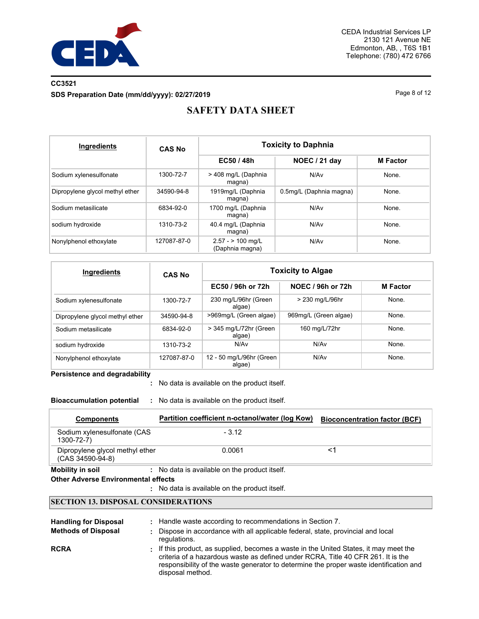

## **CC3521 SDS Preparation Date (mm/dd/yyyy): 02/27/2019 Page 8 of 12** Page 8 of 12

# **SAFETY DATA SHEET**

| <b>Ingredients</b>              | <b>CAS No</b> | <b>Toxicity to Daphnia</b>             |                         |                 |  |
|---------------------------------|---------------|----------------------------------------|-------------------------|-----------------|--|
|                                 |               | EC50 / 48h                             | NOEC / 21 day           | <b>M</b> Factor |  |
| Sodium xylenesulfonate          | 1300-72-7     | > 408 mg/L (Daphnia<br>magna)          | N/Av                    | None.           |  |
| Dipropylene glycol methyl ether | 34590-94-8    | 1919mg/L (Daphnia<br>magna)            | 0.5mg/L (Daphnia magna) | None.           |  |
| Sodium metasilicate             | 6834-92-0     | 1700 mg/L (Daphnia<br>magna)           | N/Av                    | None.           |  |
| sodium hydroxide                | 1310-73-2     | 40.4 mg/L (Daphnia<br>magna)           | N/Av                    | None.           |  |
| Nonylphenol ethoxylate          | 127087-87-0   | $2.57 - 2.100$ mg/L<br>(Daphnia magna) | N/Av                    | None.           |  |

| Ingredients                     | <b>CAS No</b> | <b>Toxicity to Algae</b>           |                       |                 |  |  |
|---------------------------------|---------------|------------------------------------|-----------------------|-----------------|--|--|
|                                 |               | EC50 / 96h or 72h                  | NOEC / 96h or 72h     | <b>M</b> Factor |  |  |
| Sodium xylenesulfonate          | 1300-72-7     | 230 mg/L/96hr (Green<br>algae)     | > 230 mg/L/96hr       | None.           |  |  |
| Dipropylene glycol methyl ether | 34590-94-8    | >969mg/L (Green algae)             | 969mg/L (Green algae) | None.           |  |  |
| Sodium metasilicate             | 6834-92-0     | > 345 mg/L/72hr (Green<br>algae)   | 160 mg/L/72hr         | None.           |  |  |
| sodium hydroxide                | 1310-73-2     | N/Av                               | N/Av                  | None.           |  |  |
| Nonylphenol ethoxylate          | 127087-87-0   | 12 - 50 mg/L/96hr (Green<br>algae) | N/Av                  | None.           |  |  |

**Persistence and degradability**

No data is available on the product itself. **:**

**Bioaccumulation potential :** No data is available on the product itself.

| <b>Components</b>                                   | Partition coefficient n-octanol/water (log Kow)    | <b>Bioconcentration factor (BCF)</b> |
|-----------------------------------------------------|----------------------------------------------------|--------------------------------------|
| Sodium xylenesulfonate (CAS<br>$1300 - 72 - 7$      | $-3.12$                                            |                                      |
| Dipropylene glycol methyl ether<br>(CAS 34590-94-8) | 0.0061                                             |                                      |
|                                                     | - Ale defe is excelled to an flex monodical iteral |                                      |

**Mobility in soil :** No data is available on the product itself.

#### **Other Adverse Environmental effects**

No data is available on the product itself. **:**

### **SECTION 13. DISPOSAL CONSIDERATIONS**

| <b>Handling for Disposal</b><br><b>Methods of Disposal</b> | : Handle waste according to recommendations in Section 7.<br>Dispose in accordance with all applicable federal, state, provincial and local<br>regulations.                                                                                                                             |
|------------------------------------------------------------|-----------------------------------------------------------------------------------------------------------------------------------------------------------------------------------------------------------------------------------------------------------------------------------------|
| <b>RCRA</b>                                                | : If this product, as supplied, becomes a waste in the United States, it may meet the<br>criteria of a hazardous waste as defined under RCRA. Title 40 CFR 261. It is the<br>responsibility of the waste generator to determine the proper waste identification and<br>disposal method. |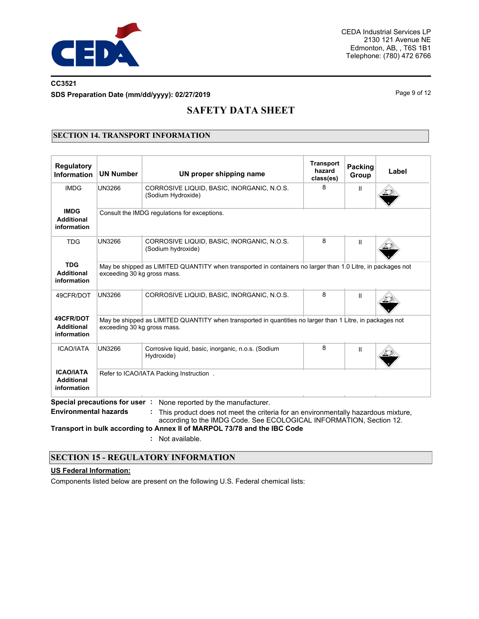

## **CC3521 SDS Preparation Date (mm/dd/yyyy): 02/27/2019 Page 9 of 12 Page 9 of 12**

# **SAFETY DATA SHEET**

### **SECTION 14. TRANSPORT INFORMATION**

| <b>Regulatory</b><br><b>Information</b>              | <b>UN Number</b>              | UN proper shipping name                                                                                                                                                                                                                                                    | <b>Transport</b><br>hazard<br>class(es) | <b>Packing</b><br>Group | Label |
|------------------------------------------------------|-------------------------------|----------------------------------------------------------------------------------------------------------------------------------------------------------------------------------------------------------------------------------------------------------------------------|-----------------------------------------|-------------------------|-------|
| <b>IMDG</b>                                          | UN3266                        | CORROSIVE LIQUID, BASIC, INORGANIC, N.O.S.<br>(Sodium Hydroxide)                                                                                                                                                                                                           | 8                                       | $\mathbf{H}$            |       |
| <b>IMDG</b><br><b>Additional</b><br>information      |                               | Consult the IMDG regulations for exceptions.                                                                                                                                                                                                                               |                                         |                         |       |
| <b>TDG</b>                                           | UN3266                        | CORROSIVE LIQUID, BASIC, INORGANIC, N.O.S.<br>(Sodium hydroxide)                                                                                                                                                                                                           | 8                                       | Ш                       |       |
| <b>TDG</b><br><b>Additional</b><br>information       | exceeding 30 kg gross mass.   | May be shipped as LIMITED QUANTITY when transported in containers no larger than 1.0 Litre, in packages not                                                                                                                                                                |                                         |                         |       |
| 49CFR/DOT                                            | <b>UN3266</b>                 | CORROSIVE LIQUID, BASIC, INORGANIC, N.O.S.                                                                                                                                                                                                                                 | 8                                       | Ш                       |       |
| 49CFR/DOT<br><b>Additional</b><br>information        | exceeding 30 kg gross mass.   | May be shipped as LIMITED QUANTITY when transported in quantities no larger than 1 Litre, in packages not                                                                                                                                                                  |                                         |                         |       |
| <b>ICAO/IATA</b>                                     | UN3266                        | Corrosive liquid, basic, inorganic, n.o.s. (Sodium<br>Hydroxide)                                                                                                                                                                                                           | 8                                       | Ш                       |       |
| <b>ICAO/IATA</b><br><b>Additional</b><br>information |                               | Refer to ICAO/IATA Packing Instruction.                                                                                                                                                                                                                                    |                                         |                         |       |
| <b>Environmental hazards</b>                         | Special precautions for user: | None reported by the manufacturer.<br>This product does not meet the criteria for an environmentally hazardous mixture,<br>according to the IMDG Code. See ECOLOGICAL INFORMATION, Section 12.<br>Transport in bulk according to Annex II of MARPOL 73/78 and the IBC Code |                                         |                         |       |

**:** Not available.

## **SECTION 15 - REGULATORY INFORMATION**

#### **US Federal Information:**

Components listed below are present on the following U.S. Federal chemical lists: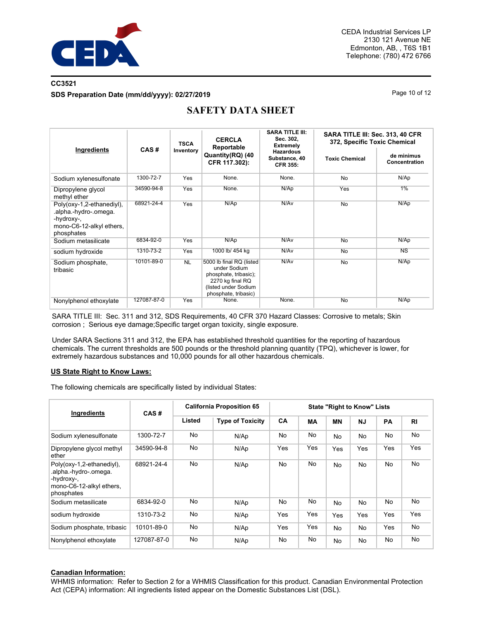

## **CC3521 SDS Preparation Date (mm/dd/yyyy): 02/27/2019 Page 10 of 12** Page 10 of 12

|                                                                                                            |             | <b>TSCA</b> | <b>CERCLA</b><br>Reportable                                                                                                           | <b>SARA TITLE III:</b><br>Sec. 302.<br><b>Extremely</b> | SARA TITLE III: Sec. 313, 40 CFR<br>372, Specific Toxic Chemical |                             |  |
|------------------------------------------------------------------------------------------------------------|-------------|-------------|---------------------------------------------------------------------------------------------------------------------------------------|---------------------------------------------------------|------------------------------------------------------------------|-----------------------------|--|
| Ingredients                                                                                                | CAS#        | Inventory   | Quantity(RQ) (40<br>CFR 117.302):                                                                                                     | <b>Hazardous</b><br>Substance, 40<br><b>CFR 355:</b>    | <b>Toxic Chemical</b>                                            | de minimus<br>Concentration |  |
| Sodium xylenesulfonate                                                                                     | 1300-72-7   | Yes         | None.                                                                                                                                 | None.                                                   | <b>No</b>                                                        | N/Ap                        |  |
| Dipropylene glycol<br>methyl ether                                                                         | 34590-94-8  | Yes         | None.                                                                                                                                 | N/Ap                                                    | Yes                                                              | $1\%$                       |  |
| Poly(oxy-1,2-ethanediyl),<br>.alpha.-hydro-.omega.<br>-hydroxy-,<br>mono-C6-12-alkyl ethers,<br>phosphates | 68921-24-4  | Yes         | N/Ap                                                                                                                                  | N/Av                                                    | <b>No</b>                                                        | N/Ap                        |  |
| Sodium metasilicate                                                                                        | 6834-92-0   | Yes         | N/Ap                                                                                                                                  | N/Av                                                    | <b>No</b>                                                        | N/Ap                        |  |
| sodium hydroxide                                                                                           | 1310-73-2   | Yes         | 1000 lb/ 454 kg                                                                                                                       | N/Av                                                    | No.                                                              | NS                          |  |
| Sodium phosphate,<br>tribasic                                                                              | 10101-89-0  | <b>NL</b>   | 5000 lb final RQ (listed<br>under Sodium<br>phosphate, tribasic);<br>2270 kg final RQ<br>(listed under Sodium<br>phosphate, tribasic) | N/Av                                                    | <b>No</b>                                                        | N/Ap                        |  |
| Nonylphenol ethoxylate                                                                                     | 127087-87-0 | Yes         | None.                                                                                                                                 | None.                                                   | <b>No</b>                                                        | N/Ap                        |  |

# **SAFETY DATA SHEET**

SARA TITLE III: Sec. 311 and 312, SDS Requirements, 40 CFR 370 Hazard Classes: Corrosive to metals; Skin corrosion ; Serious eye damage;Specific target organ toxicity, single exposure.

Under SARA Sections 311 and 312, the EPA has established threshold quantities for the reporting of hazardous chemicals. The current thresholds are 500 pounds or the threshold planning quantity (TPQ), whichever is lower, for extremely hazardous substances and 10,000 pounds for all other hazardous chemicals.

#### **US State Right to Know Laws:**

The following chemicals are specifically listed by individual States:

| <b>Ingredients</b>                                                                                         | CAS#        | <b>California Proposition 65</b> |                         | <b>State "Right to Know" Lists</b> |           |                |           |           |                |
|------------------------------------------------------------------------------------------------------------|-------------|----------------------------------|-------------------------|------------------------------------|-----------|----------------|-----------|-----------|----------------|
|                                                                                                            |             | Listed                           | <b>Type of Toxicity</b> | <b>CA</b>                          | <b>MA</b> | <b>MN</b>      | <b>NJ</b> | <b>PA</b> | R <sub>1</sub> |
| Sodium xylenesulfonate                                                                                     | 1300-72-7   | No                               | N/Ap                    | No                                 | No        | <b>No</b>      | No        | No        | No             |
| Dipropylene glycol methyl<br>ether                                                                         | 34590-94-8  | No                               | N/Ap                    | Yes                                | Yes       | Yes            | Yes       | Yes       | Yes            |
| Poly(oxy-1,2-ethanediyl),<br>.alpha.-hydro-.omega.<br>-hydroxy-.<br>mono-C6-12-alkyl ethers,<br>phosphates | 68921-24-4  | <b>No</b>                        | N/Ap                    | No                                 | <b>No</b> | <b>No</b>      | <b>No</b> | <b>No</b> | No             |
| Sodium metasilicate                                                                                        | 6834-92-0   | No                               | N/Ap                    | No                                 | No        | <b>No</b>      | No        | No        | No             |
| sodium hydroxide                                                                                           | 1310-73-2   | No                               | N/Ap                    | Yes                                | Yes       | Yes            | Yes       | Yes       | Yes            |
| Sodium phosphate, tribasic                                                                                 | 10101-89-0  | No                               | N/Ap                    | Yes                                | Yes       | N <sub>0</sub> | No        | Yes       | No             |
| Nonylphenol ethoxylate                                                                                     | 127087-87-0 | No                               | N/Ap                    | No.                                | No        | <b>No</b>      | No        | <b>No</b> | No             |

### **Canadian Information:**

WHMIS information: Refer to Section 2 for a WHMIS Classification for this product. Canadian Environmental Protection Act (CEPA) information: All ingredients listed appear on the Domestic Substances List (DSL).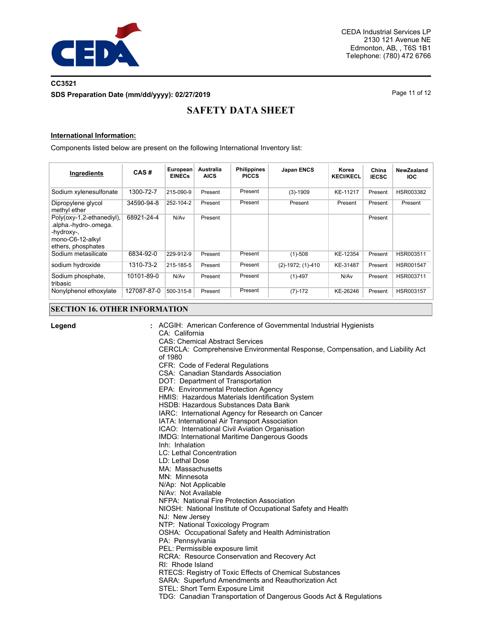

## **CC3521 SDS Preparation Date (mm/dd/yyyy): 02/27/2019 Page 11 of 12 Page 11 of 12**

# **SAFETY DATA SHEET**

### **International Information:**

Components listed below are present on the following International Inventory list:

| Ingredients                                                                                                | CAS#        | European<br><b>EINECs</b> | <b>Australia</b><br><b>AICS</b> | <b>Philippines</b><br><b>PICCS</b> | <b>Japan ENCS</b>      | Korea<br><b>KECI/KECL</b> | China<br><b>IECSC</b> | NewZealand<br><b>IOC</b> |
|------------------------------------------------------------------------------------------------------------|-------------|---------------------------|---------------------------------|------------------------------------|------------------------|---------------------------|-----------------------|--------------------------|
| Sodium xylenesulfonate                                                                                     | 1300-72-7   | 215-090-9                 | Present                         | Present                            | $(3)-1909$             | KE-11217                  | Present               | HSR003382                |
| Dipropylene glycol<br>methyl ether                                                                         | 34590-94-8  | 252-104-2                 | Present                         | Present                            | Present                | Present                   | Present               | Present                  |
| Poly(oxy-1,2-ethanediyl),<br>.alpha.-hydro-.omega.<br>-hydroxy-,<br>mono-C6-12-alkyl<br>ethers, phosphates | 68921-24-4  | N/Av                      | Present                         |                                    |                        |                           | Present               |                          |
| Sodium metasilicate                                                                                        | 6834-92-0   | 229-912-9                 | Present                         | Present                            | $(1)-508$              | KE-12354                  | Present               | HSR003511                |
| sodium hydroxide                                                                                           | 1310-73-2   | 215-185-5                 | Present                         | Present                            | $(2)-1972$ ; $(1)-410$ | KE-31487                  | Present               | HSR001547                |
| Sodium phosphate,<br>tribasic                                                                              | 10101-89-0  | N/A <sub>v</sub>          | Present                         | Present                            | $(1) - 497$            | N/Av                      | Present               | HSR003711                |
| Nonylphenol ethoxylate                                                                                     | 127087-87-0 | 500-315-8                 | Present                         | Present                            | $(7)-172$              | KE-26246                  | Present               | HSR003157                |

### **SECTION 16. OTHER INFORMATION**

| Legend | : ACGIH: American Conference of Governmental Industrial Hygienists<br>CA: California<br><b>CAS: Chemical Abstract Services</b><br>CERCLA: Comprehensive Environmental Response, Compensation, and Liability Act<br>of 1980<br>CFR: Code of Federal Regulations<br>CSA: Canadian Standards Association<br>DOT: Department of Transportation<br>EPA: Environmental Protection Agency<br>HMIS: Hazardous Materials Identification System<br>HSDB: Hazardous Substances Data Bank<br>IARC: International Agency for Research on Cancer<br>IATA: International Air Transport Association<br>ICAO: International Civil Aviation Organisation<br><b>IMDG: International Maritime Dangerous Goods</b><br>Inh: Inhalation<br>LC: Lethal Concentration<br>LD: Lethal Dose<br>MA: Massachusetts<br>MN: Minnesota<br>N/Ap: Not Applicable<br>N/Av: Not Available<br>NFPA: National Fire Protection Association<br>NIOSH: National Institute of Occupational Safety and Health<br>NJ: New Jersey<br>NTP: National Toxicology Program<br>OSHA: Occupational Safety and Health Administration<br>PA: Pennsylvania<br>PEL: Permissible exposure limit<br>RCRA: Resource Conservation and Recovery Act<br>RI: Rhode Island<br>RTECS: Registry of Toxic Effects of Chemical Substances<br>SARA: Superfund Amendments and Reauthorization Act<br>STEL: Short Term Exposure Limit<br>TDG: Canadian Transportation of Dangerous Goods Act & Regulations |
|--------|------------------------------------------------------------------------------------------------------------------------------------------------------------------------------------------------------------------------------------------------------------------------------------------------------------------------------------------------------------------------------------------------------------------------------------------------------------------------------------------------------------------------------------------------------------------------------------------------------------------------------------------------------------------------------------------------------------------------------------------------------------------------------------------------------------------------------------------------------------------------------------------------------------------------------------------------------------------------------------------------------------------------------------------------------------------------------------------------------------------------------------------------------------------------------------------------------------------------------------------------------------------------------------------------------------------------------------------------------------------------------------------------------------------------------------|
|        |                                                                                                                                                                                                                                                                                                                                                                                                                                                                                                                                                                                                                                                                                                                                                                                                                                                                                                                                                                                                                                                                                                                                                                                                                                                                                                                                                                                                                                    |